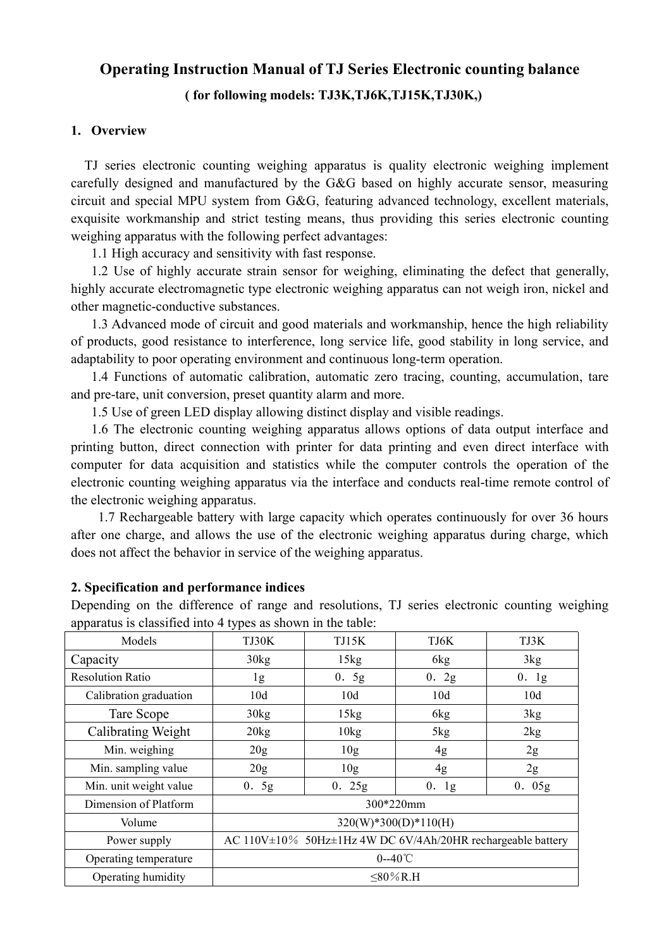# Operating Instruction Manual of TJ Series Electronic counting balance<br>( for following models: TJ3K,TJ6K,TJ15K,TJ30K,)<br>)<br>verview **Interaction Manual of TJ Series Electronic counting balance**<br>( for following models: TJ3K,TJ6K,TJ15K,TJ30K,)<br>ic counting weighing apparatus is quality electronic weighing implement

**Operating Instruction Manual of TJ Series Electronic**<br>
(for following models: TJ3K,TJ6K,TJ15K,TJ30<br>
1. Overview<br>
TJ series electronic counting weighing apparatus is quality elect<br>
carefully designed and manufactured by th **Operating Instruction Manual of TJ Series Electronic counting balance**<br>
(for following models: TJ3K,TJ6K,TJ15K,TJ30K,)<br>
Overview<br>
TJ series electronic counting weighing apparatus is quality electronic weighing implement<br> **Contain Containstant Containstant Containstant Containstant Containstant Containstance**<br> **Containstant Containstant Containstant Containstant Containstant Containstant Containstant Containstant Containstant Containstant C Operating Instruction Manual of TJ Series Electronic counting balance**<br>
(for following models: TJ3K,TJ6K,TJ15K,TJ30K,)<br>
1. Overview<br>
TJ series electronic counting weighing apparatus is quality electronic weighing implemen **Operating Instruction Manual of TJ Series Electronic counting balance**<br>
(for following models: **TJ3K,TJ6K,TJ15K,TJ30K,)**<br>
1. Overview<br>
TJ series electronic counting weighing apparatus is quality electronic weighing implem **Operating Instruction Manual of TJ Series Electronic counting balance**<br>
(for following models: TJ3K,TJ6K,TJ15K,TJ30K,)<br>
1. Overview<br>
TJ series electronic counting weighing apparatus is quality electronic weighing implemen **Operating Instruction Manual of TJ Series Electronic counting balance**<br>
(for following models: TJ3K,TJ6K,TJ15K,TJ30K,)<br>
Overview<br>
T series electronic counting weighing apparatus is quality electronic weighing implement<br>
f **Operating Instruction Manual of TJ Series Electronic counting balance** (**for following models: TJ3K,TJ6K,TJ15K,TJ30K,)**<br> **Overview**<br> **Use of the following of the defect of the defect to the defect that generally** designed **Operating Instruction Manual of TJ Series Electronic counting balance**<br>
(for following models: TJ3K, TJ6K, TJ15K, TJ30K.)<br>
1. Overview<br>
TJ series electronic counting weighing apparatus is quality electronic weighing imple **Operating Instruction Manual of TJ Series Electronic counting balance**<br>
(for following models: **TJ3K,TJ6K,TJ15K,TJ30K,**)<br>
1. Overview<br>
TJ series electronic counting weighing apparatus is quality electronic weighing implen **Operating Instruction Manual of TJ Series Electronic counting balance**<br>
(for following models: TJ3K,TJ6K,TJ15K,TJ30K,)<br> **Overview**<br>
T series electronic counting weighing apparatus is quality electronic weighing implement<br> **Operating Instruction Manual of TJ Series Electronic counting balance** (for following models: TJ3K,TJ6K,TJ15K,TJ30K,)<br>
1. Overview<br>
TJ series electronic counting weighing apparatus is quality electronic weighing implement **CONTERT CONTERT (THE SETT SETT SETT SETT SETT SETT AND THE SETT AND THE SETT SETT SETT SETT SERVIT USING THE SETT SERVIT USING THE SETT SERVIT USING THE SETT SERVIROL ENTIMBER INTO THE SERVIROL THE SERVIROL CONTERT SCHEW** (for following models: TJ3K,TJ6K,TJ15K,TJ380K,)<br>Overview<br>T series electronic counting weighing apparatus is quality electronic weighing implement<br>fully designed and manufactured by the G&G based on highly accurate sensor, 1. Overview<br>
11 series electronic counting weighing apparatus is quality electronic weighing implement<br>
carefully designed and manufactured by the G&G based on highly accurate sensor, measuring<br>
exceptiti and special MPU s Overview<br>
T series electronic counting weighing apparatus is quality electronic weighing implement<br>
rituly designed and manufactured by the G&G based on highly accurate sensor, measuring<br>
uit and special MPU system from G& T scries electronic counting weighing apparatus is quality electronic weighing implement<br>fully designed and manufactured by the G&G based on highly accurate sensor, measuring<br>uit and special MPU system from G&G, featuring TJ series electronic counting weighing apparatus is quality electronic weighing implement<br>earcfully designed and manufactured by the G&G hased on highly accurate sensor, measuring<br>eiventing and special MPU system from G&G

carcfully designed and manufactured by the G&G based on highly accurate sensor, measuring<br>circuit and special MPU system from G&G, featuring advanced technology, excellent materials,<br>exquisite workmanship and strict testin eireuit and special MPU system from G&G, featuring advanced technology, excellent materials,<br>exquisite workmanship and strict testing means, thus providing this series electronic counting<br>with the following perfect advanta exquisite workmanship and strict testing means, thus providing this series electronic evelying apparatus with the following perfect advantages:<br>
1.1 High accurate y and sensitivity with fast response.<br>
1.2 Use of highly ac It ligh accuracy and somitivity with fast response.<br>
1. High accuracy and sensitivity with fast response.<br>
2. Use of highly accurate stans sensor for weighing, eliminating the defect that generally,<br>
2. Cles of highly acc 1.1 High accuracy and sensitivity with fast response.<br>
1.2 Use of highly accurate strain sensor for weighing, eliminating the defect that generally, highly accurate electromagnetic type electronic weighing apparatus can no 1.2 Use of highly accurate strain sensor for weighing, climinating the defect that generally,<br>highly accurate electromagnetic type electronic weighing apparatus can not weigh iron, nickel and<br>other magnetic-conductive subs other magnetic-conductive substances.<br>
1.3 Advanced mode of circuit and good materials and workmanship, hence the high reliability<br>
1.3 Advanced mode of circuit and good materials and workmanship, hence the high reliabilit 1.3 Advanced mode of circuit and good materials and workmanship, hence the high reliability<br>of products, good resistance to interference, long service life, good stability in long service, and<br>adaptability to por operatin of products, good resistance to interference, long service life, good stability in long service, and<br>adaptability to poor operating environment and continuous long-term operation.<br>
1.4 Functions of atommatic elibration, a ity to poor operating environment and continuous long-term operation.<br>
unctions of automatic calibration, automatic zero tracing, counting, accumulation, tare<br>
are, unit conversion, presct quantity alarm and more.<br>
se of g

| 1.4 Functions of automatic calibration, automatic zero tracing, counting, accumulation, tare      |       |                 |                                                             |       |
|---------------------------------------------------------------------------------------------------|-------|-----------------|-------------------------------------------------------------|-------|
| and pre-tare, unit conversion, preset quantity alarm and more.                                    |       |                 |                                                             |       |
| 1.5 Use of green LED display allowing distinct display and visible readings.                      |       |                 |                                                             |       |
| 1.6 The electronic counting weighing apparatus allows options of data output interface and        |       |                 |                                                             |       |
| printing button, direct connection with printer for data printing and even direct interface with  |       |                 |                                                             |       |
| computer for data acquisition and statistics while the computer controls the operation of the     |       |                 |                                                             |       |
| electronic counting weighing apparatus via the interface and conducts real-time remote control of |       |                 |                                                             |       |
| the electronic weighing apparatus.                                                                |       |                 |                                                             |       |
| 1.7 Rechargeable battery with large capacity which operates continuously for over 36 hours        |       |                 |                                                             |       |
| after one charge, and allows the use of the electronic weighing apparatus during charge, which    |       |                 |                                                             |       |
| does not affect the behavior in service of the weighing apparatus.                                |       |                 |                                                             |       |
|                                                                                                   |       |                 |                                                             |       |
| 2. Specification and performance indices                                                          |       |                 |                                                             |       |
| Depending on the difference of range and resolutions, TJ series electronic counting weighing      |       |                 |                                                             |       |
| apparatus is classified into 4 types as shown in the table:                                       |       |                 |                                                             |       |
| Models                                                                                            | TJ30K | TJ15K           | TJ6K                                                        | TJ3K  |
| Capacity                                                                                          | 30kg  | 15kg            | 6 <sub>kg</sub>                                             | 3kg   |
| <b>Resolution Ratio</b>                                                                           | 1g    | 0.5g            | 0.2g                                                        | 0.1g  |
| Calibration graduation                                                                            | 10d   | 10d             | 10d                                                         | 10d   |
| Tare Scope                                                                                        | 30kg  | 15kg            | 6kg                                                         | 3kg   |
| Calibrating Weight                                                                                | 20kg  | 10kg            | 5kg                                                         | 2kg   |
| Min. weighing                                                                                     | 20g   | 10 <sub>g</sub> | 4g                                                          | 2g    |
| Min. sampling value                                                                               | 20g   | 10 <sub>g</sub> | 4g                                                          | 2g    |
| Min. unit weight value                                                                            | 0.5g  | 0.25g           | 0.1g                                                        | 0.05g |
| Dimension of Platform                                                                             |       |                 | 300*220mm                                                   |       |
| Volume                                                                                            |       |                 | 320(W)*300(D)*110(H)                                        |       |
| Power supply                                                                                      |       |                 | AC 110V±10% 50Hz±1Hz 4W DC 6V/4Ah/20HR rechargeable battery |       |
| Operating temperature                                                                             |       |                 | $0 - 40^\circ \text{C}$                                     |       |
|                                                                                                   |       |                 | $≤80\%$ R.H                                                 |       |
| Operating humidity                                                                                |       |                 |                                                             |       |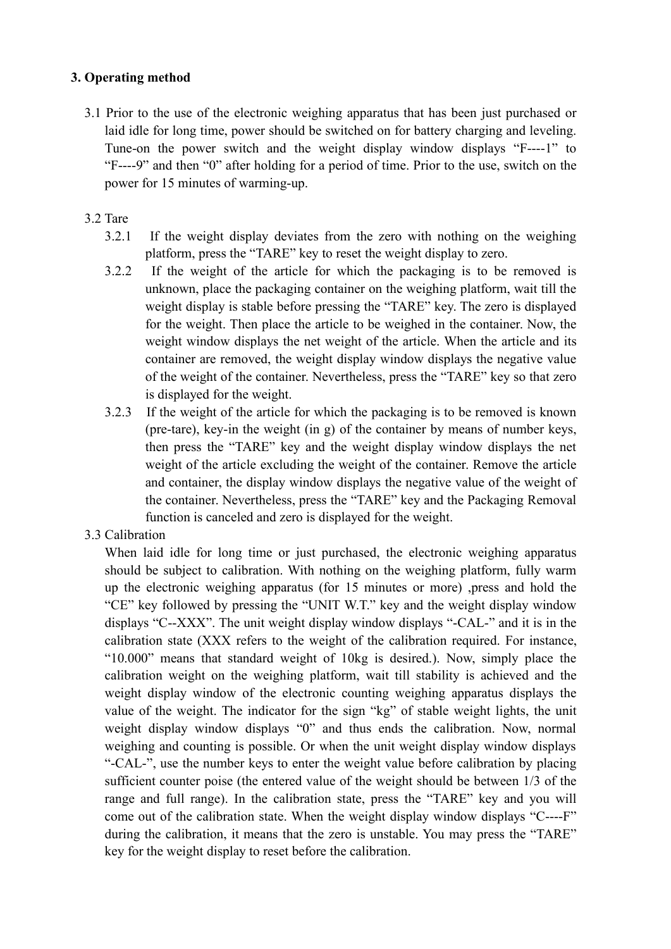3. Operating method<br>3.1 Prior to the use of the electronic weighing apparatus that has been just pu<br>aid idle for long time, power should be switched on for battery charging ar<br>3.1 Prior to the use of the electronic weight **Operating method**<br>3.1 Prior to the use of the electronic weighing apparatus that has been just purchased or<br>laid idle for long time, power should be switched on for battery charging and leveling.<br>Tune-on the power switch erating method<br>
Prior to the use of the electronic weighing apparatus that has been just purchased or<br>
laid idle for long time, power should be switched on for battery charging and leveling.<br>
Tune-on the power switch and t Prior to the use of the electronic weighing apparatus that has been just purchased or laid idle for long time, power should be switched on for battery charging and leveling. Tune-on the power switch and the weight display Fracting method<br>
Prior to the use of the electronic weighing apparatus that has been just purchased or<br>
laid idle for long time, power should be switched on for battery charging and leveling.<br>
Tune-on the power switch and **Example 15**<br> **Prior to the use of the electronic weighing apparatus that has been just purchased or**<br> **Prior to the use of the electronic weighing apparatus that has been just purchased or**<br> **Tune-on** the power switch and **Operating method**<br>
3.1 Prior to the use of the electronic weighing apparatus that has been<br>
aid idle for long time, power should be switched on for battery cha<br>
Tune-on the power switch and the weight display window dis<br> **Example 12.1**<br> **Prior** to the use of the electronic weighing apparatus that has been just purchased or laid idle for long time, power should be switched on for battery charging and leveling.<br>
Tune-on the power switch and **method**<br>
the use of the electronic weighing apparatus that has been just purchased or<br>
for long time, power should be switched on for battery charging and leveling.<br>
The power switch and the weight display window displays Fracting method<br>
Prior to the use of the electronic weighing apparatus that has been just purchased or<br>
laid idle for long time, power should be switched on for battery charging and leveling.<br>
Tune-on the power switch and

- 
- method<br>
the use of the electronic weighing apparatus that has been just purchased or<br>
for long time, power should be switched on for battery charging and leveling.<br>
The power switch and the weight display window displays " method<br>
the use of the electronic weighing apparatus that has been just purchased or<br>
for long time, power should be switched on for battery charging and levening.<br>
The meoner switch and the weight display window displays method<br>the use of the electronic weighing apparatus that has been just purchased or<br>for long time, power should be switched on for battery charging and leveling.<br>The power switch and the weight display window displays "F-method<br>of the use of the electronic weighing apparatus that has been just purchased or<br>for long time, power should be switched on for battery charging and leveling.<br>"and then "0" after holding for a period of time. Prior t method<br>
or the use of the electronic weighing apparatus that has been just purchased or<br>
e for long time, power should be switched on for battery charging and leveling.<br>
n the power switch and the weight display window di of the use of the electronic weighing apparatus that has been just purchased or<br>for long time, power should be switched on for battery charging and leveling.<br>In the power switch and the weight display window displays "F--b the use of the electronic weighing apparatus that has been just purchased or<br>for long time, power should be switched on for battery charging and leveling.<br>The power switch and the weight display window displays "F----1" Iaid idle for long time, power should be switched on for battery charging and leveling.<br>
Tune-on the power switch and the weight display window displays "F---1" to<br>
"F----9" and then "0" after holding for a period of time. n the power switch and the weight display window displays "F----1" to " and then "0" after holding for a period of time. Prior to the use, switch on the cord or 15 minutes of varming-up.<br>
If the weight display deviates fro " and then "0" after holding for a period of time. Prior to the use, switch on the or IS minutes of warming-up.<br>
If the weight display deviates from the zero with nothing on the weighing<br>
platform, press the "TARE" key to for 15 minutes of warming-up.<br>
If the weight display deviates from the zero with nothing on the weighing<br>
platform, press the "TARE" key to reset the weight display to zero.<br>
If the weight of the article for which the pack If the weight display deviates from the zero with nothing on the weighing<br>platform, press the "TARE" key to reset the weight display to zero.<br>If the weight of the article for which the packaging is to be removed is<br>unknown If the weight display deviates from the zero with nothing on the weighing<br>platform, press the "TARE" key to reset the weight display to zero.<br>If the weight of the article for which the packaging is to be removed is<br>unknown If the weight display deviates from the zero with nothing on the weighing<br>platform, press the "TARE" key to reset the weight display to zero.<br>If the weight of the article for which the packaging is to be removed is<br>unknown platform, press the "TARE" key to reset the weight display to<br>3.2.2 If the weight of the article for which the packaging is<br>unknown, place the packaging container on the weighing pla<br>weight display is stable before pressin 3.2.2 If the weight of the article for which the packaging is to be removed is unknown, place the packaging container on the weighing platform, wait iill the weight display is stable before pressing the "TARE" key. The ze unknown, place the packaging container on the weighing platform, wait till the weight display is stable before pressing the "TARE" key. The zero is displayed for the weight. Then place the article to be weight in the cont
	- weight display is stable before pressing the "TARE" key. The zero is displayed<br>for the weight. Then place the article to be weighed in the container. Now, the<br>weight window displays the net weight of the article. When the

for the weight. Then place the article to be weighed in the container. Now, the weight window displays the net weight of the article. When the article and its container are removed, the weight display window displays the weight window displays the net weight of the article. When the article and its container are removed, the weight display window displays the negative value of the weight of the outainer. Nevertheless, press the "TARE" key container are removed, the weight display window displays the negative value<br>of the weight of the container. Nevertheless, press the "TARE" key so that zero<br>is displayed for the weight. The versition required.<br>3.2.3 If the of the weight of the container. Nevertheless, press the "TARE" key so that zero<br>is displayed for the weight. The two there is the weight of the article for which the packaging is to be removed is known<br>(pre-tare), key-in is displayed for the weight.<br>3.2.3 If the veright of the article for which the packaging is to be removed is known<br>(pre-tare), key-in the weight (in g) of the container by means of number keys,<br>then press the "TARE" key a 3.2.3 If the weight of the article for which the packaging is to be removed is known (pre-tare), key-in the weight (in g) of the container by means of number keys, then the wind the wind the weight display window displays (pre-tare), key-in the weight (in g) of the container by means of number keys,<br>then press the "TARE" key and the weight display window displays the net<br>weight of the article excluding the weight of the container. Remove t then press the "TARE" key and the weight display window displays the net weight of the article excluding the weight of the container. Remove the article and container, the display window displays the negative value of the weight of the article excluding the weight of the container. Remove the article and container, the display window displays the negative value of the weight of the container. Nevertheless, preas the "TARE" key and the Pack and container, the display window displays the negative value of the weight of<br>the container. Nevertheless, press the "TARE" key and the Packaging Removal<br>function is canceled and zero is displayed for the weight.<br>Calibra the container. Nevertheless, press the "TARE" key and the Packaging Removal<br>function is canceled and zero is displayed for the weight.<br>Calibration<br>When laid idle for long time or just purchased, the electronic weighing app function is canceled and zero is displayed for the weight.<br>Calibration<br>Calibration is dide for long time or just purchased, the electronic weighing apparatus<br>should be subject to calibration. With nothing on the weighing Calibration<br>When laid idle for long time or just purchased, the electronic weighing apparatus<br>When laid idle for long time on the wighting paparatus (for 15 minutes or more) ,<br>press and hold the electronic weighing appara When laid idle for long time or just purchased, the electronic weighing apparatus<br>should be subject to calibration. With nothing on the weighing platform, fully warm<br>puble electronic weighing apparatus (for 15 minutes or should be subject to calibration. With nothing on the weighing platform, fully warm<br>up the electronic weighing apparatus (for 15 minutes or more) ,<br>press and hold the<br>"CE" key followed by pressing the "UNIT W.T." key and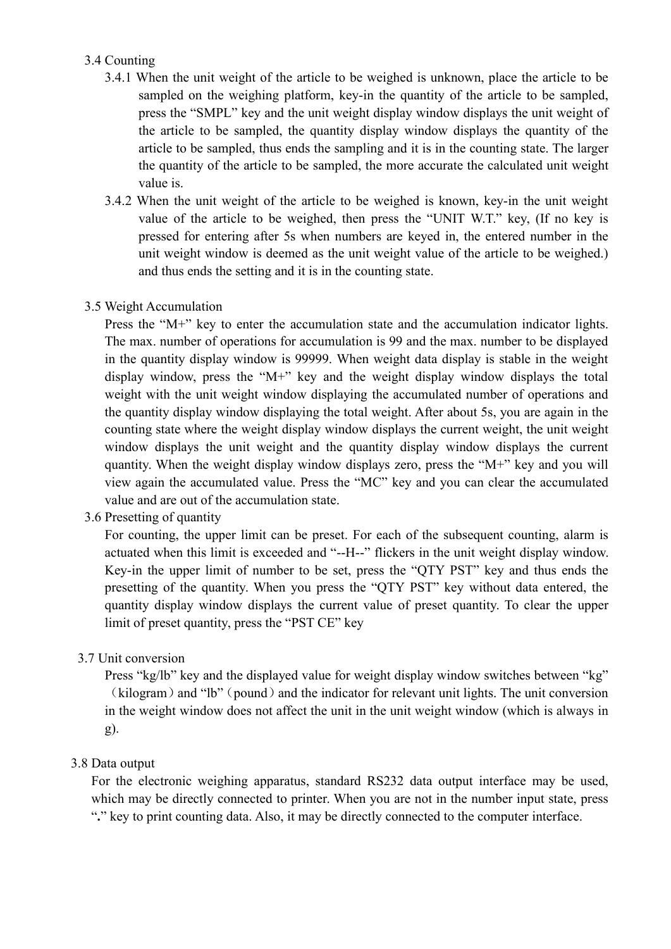- 3.4 Counting<br>3.4.1 When the unit weight of the article to be weighed is unknow<br>sampled on the weighing platform, key-in the quantity of th<br>press the "SMPL" key and the unit weight display window di<br>the article to be sample Counting<br>3.4.1 When the unit weight of the article to be weighed is unknown, place the article to be<br>sampled on the weighing platform, key-in the quantity of the article to be sampled,<br>press the "SMPL" key and the unit wei ing<br>When the unit weight of the article to be weighed is unknown, place the article to be<br>sampled on the weighing platform, key-in the quantity of the article to be sampled,<br>press the "SMPL" key and the unit weight display ing<br>When the unit weight of the article to be weighed is unknown, place the article to be<br>sampled on the weighing platform, key-in the quantity of the article to be sampled,<br>press the "SMPL" key and the unit weight display ing<br>When the unit weight of the article to be weighed is unknown, place the article to be<br>sampled on the weighing platform, key-in the quantity of the article to be sampled,<br>press the "SMPL" key and the unit weight display ing<br>When the unit weight of the article to be weighed is unknown, place the article to be<br>sampled on the weighing platform, key-in the quantity of the article to be sampled,<br>press the "SMPL" key and the unit weight display the unit weight of the article to be weighed is unknown, place the article to be sampled on the weighing platform, key-in the quantity of the article to be sampled, press the "SMPL" key and the unit weight display window d ing<br>When the unit weight of the article to be weighed is unknown, place the<br>sampled on the weighing platform, key-in the quantity of the article to<br>press the "SMPL" key and the unit weight display window displays the u<br>the Counting<br>3.4.1 When the unit weight of the article to be weighted is unknown, place the article to be<br>sampled on the weighing platform, key-in the quantity of the article to be sampled,<br>press the "SMPL" key and the unit w ing<br>When the unit weight of the article to be weighed is unknown, place the article to be<br>sampled on the weighing platform, key-in the quantity of the article to be sampled,<br>press the "SMPL" key and the unit weight display ing<br>when the unit weight of the article to be weighed is unknown, place the article to be<br>sampled on the weighing platform, key-in the quantity of the article to be sampled,<br>the "sYMPL" leve yand the unit weight disply win ing<br>
when the unit weight of the article to be weighed is unknown, place the article to be<br>
sampled on the weighing platform, key-in the quantity of the article to be sampled,<br>
press the "SMPL" key and the unit weight disp ing<br>
sing<br>
simpled on the weighing platform, key-in the quantity of the article to be sampled,<br>
sampled on the weighing platform, key-in the quantity of the article to be sampled,<br>
the article to be sampled, the unit veigh 3.4 Counting<br>3.4.1 When the unit weight of the article to be weighed is unknown, place<br>5.4.1 When the unit weight of the article to be weighted is unknown, place<br>5.1 weight and the unit weight display window displays the<br> Counting<br>3.4.1 When the unit weight of the article to be weighed is unknown, place the article to be sampled,<br>9.3.4.1 When the weighing platform, key-in the quantity of the article to be sampled,<br>press the "SMPL" key and Counting<br>
3.4.1 When the unit weight of the article to be weighted is unknown, place the article to be<br>
sampled on the weighing platform, key-in the quantity of the article to be sampled,<br>
press the "SMPL" key and the uni 3.4.1 When the unit weight of the article to be weighed is unknown, place the article to be sampled, on the winging platform, key-in the quantity of the article to be sampled, the article is the "SMPL" key and the unit we
	-
- 

sampled on the weighing platform, key-in the quantity of the article to be sampled, press the "SMPL" key and the unit weight display window displays the unit weight of the article to be sampled, the quantity display windo press the "SMPL" key and the unit weight display window displays the unit weight of<br>the article to be sampled, the quantity display window displays the quantity of the<br>article to be sampled, thus ends the sampling and it the article to be sampled, the quantity display window displays the quantity of the article to be sampled, thus ends the sampling and it is in the counting state. The larger the quantity of the article to be sampled, the m article to be sampled, thus ends the sampling and it is in the counting state. The larger the quantity of the article to be sampled, the more accurate the calculated unit weight value is.<br>3.4.2 When the unit weight of the the quantity of the article to be sampled, the more accurate the calculated unit weight<br>value is.<br>
3.4.2 When the unit weight of the article to be weighed is known, key-in the unit weight<br>
value of the article to be weigh value is.<br>3.4.2 When the unit weight of the article to be weighed is known, key-in the unit weight<br>value of the article to be weighed, then press the "UNIT W.T." key, (If no key is<br>pressed for entering after 5s when numbe 3.4.2 When the unit weight of the article to be weighed is known, key-in the unit weight<br>value of the article to be weighed, then press the "UNIT W.T." key, (If no key is<br>pressed for entering after 5 when numbers are keye value of the article to be weighed, then press the "UNIT W.T." key, (If no key is<br>pressed for entering after 5s when numbers are keyed in, the entered number in the<br>unit weight window is decmed as the unit weight value of pressed for entering after 5s when numbers are keyed in, the entered numit weight window is decemed as the unit weight value of the article to b and thus ends the setting and it is in the counting state.<br>3.5 Weight Accumu unit weight window is deemed as the unit weight value of the article to be weighed.)<br>
and thus ends the setting and it is in the counting state.<br>
Weight Accumulation<br>
Press the "M+" key to enter the accumulation state and and thus ends the setting and it is in the counting state.<br>Weight Accumulation<br>Press the "M<sup>++"</sup> key to enter the accumulation state and the accumulation indicator lights.<br>The max. number of operations for accumulation is Weight Accumulation<br>
Press the "M+" key to enter the accumulation is 99 and the nax. number to be displayed<br>
in the quantity display window is 99999. When weight data display is stable in the weight<br>
in the quantity displa Weight Accumulation<br>
Press the "M+" key to enter the accumulation state and the accumulation indicator lights.<br>
The max. number of operations for accumulation is 99 and the max. number to be displayed<br>
in the quantity disp Press the "M+" key to enter the accumulation state and the accumulation indicator lights.<br>The max. number of operations for accumulation is 99 and the max. number to be displayed<br>in the quantity display window is 99999. W The max. number of operations for accumulation is 99 and the max. number to be displayed<br>in the quantity display window is 99999. When weight data display is stable in the weight<br>display window, press the "M+" key and the display window, press the "M+" key and the weight display window<br>weight with the unit weight window displaying the accumulated num<br>the quantity display window displaying the total weight. After about 5s<br>counting state whe weight with the unit weight window displaying the accumulated number of operations and<br>the quantity display window displaying the total weight. After about 5s, you are again in the<br>counting state where the weight display w the quantity display window displaying the total weight. After about 5s, you are again in the counting state where the weight display window displays the current wight, the unit weight quantity. When the weight stiplay wi

counting state where the weight display window displays the current weight, the unit weight<br>window displays the unit weight and the quantity display window displays the current<br>quantity. When the weight display window disp view again the accumulated value. Press the "MC" key and you can<br>value and are out of the accumulation state.<br>3.6 Presetting of quantity<br>For counting, the upper limit can be preset. For each of the subseque<br>actuated when value and are out of the accumulation state.<br>
6. Presctting of quantity<br>
for counting, the upper limit can be preset. For each of the subsequent counting, alarm is<br>
actuated when this limit is exceeded and "--H--" flicker %.6 Presetting of quantity For connity, the upper limit can be preset. For each of the subsequent counting, alarm is economical when this limit is exceeded and "--H--" flickers in the unit weight display window. Key-in th

g).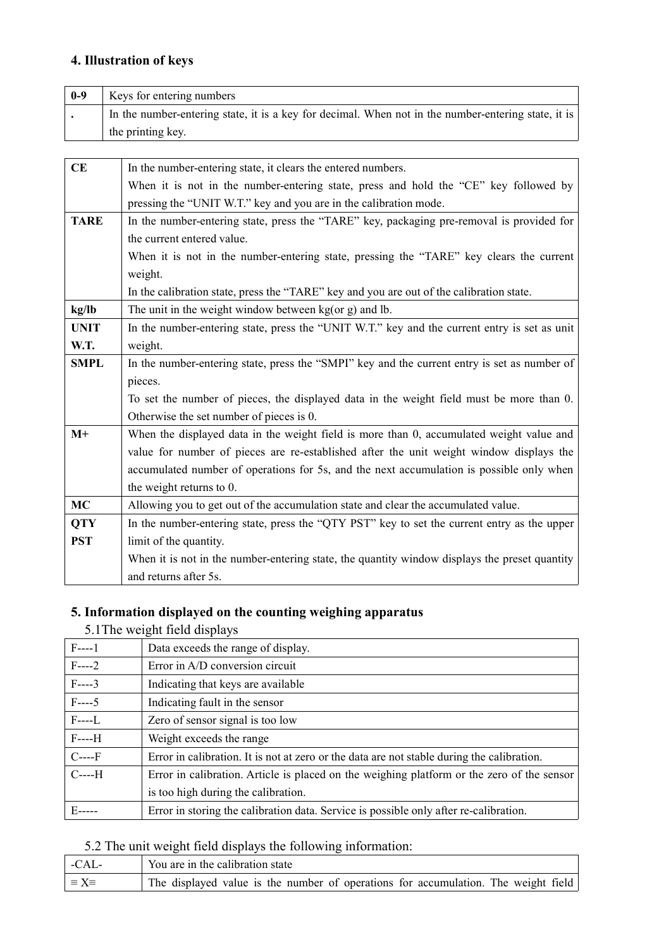|             | 4. Illustration of keys                                                                             |
|-------------|-----------------------------------------------------------------------------------------------------|
| $0-9$       | Keys for entering numbers                                                                           |
|             | In the number-entering state, it is a key for decimal. When not in the number-entering state, it is |
|             | the printing key.                                                                                   |
|             |                                                                                                     |
| CE          | In the number-entering state, it clears the entered numbers.                                        |
|             | When it is not in the number-entering state, press and hold the "CE" key followed by                |
|             | pressing the "UNIT W.T." key and you are in the calibration mode.                                   |
| <b>TARE</b> | In the number-entering state, press the "TARE" key, packaging pre-removal is provided for           |
|             | the current entered value.                                                                          |
|             | When it is not in the number-entering state, pressing the "TARE" key clears the current             |
|             | weight.                                                                                             |
|             | In the calibration state, press the "TARE" key and you are out of the calibration state.            |
| kg/lb       | The unit in the weight window between $kg($ or $g)$ and lb.                                         |
| <b>UNIT</b> | In the number-entering state, press the "UNIT W.T." key and the current entry is set as unit        |
| W.T.        | weight.                                                                                             |
| <b>SMPL</b> | In the number-entering state, press the "SMPI" key and the current entry is set as number of        |
|             | pieces.                                                                                             |
|             | To set the number of pieces, the displayed data in the weight field must be more than 0.            |
|             | Otherwise the set number of pieces is 0.                                                            |
| $M+$        | When the displayed data in the weight field is more than 0, accumulated weight value and            |
|             | value for number of pieces are re-established after the unit weight window displays the             |
|             | accumulated number of operations for 5s, and the next accumulation is possible only when            |
|             | the weight returns to 0.                                                                            |
| MC          | Allowing you to get out of the accumulation state and clear the accumulated value.                  |
| <b>QTY</b>  | In the number-entering state, press the "QTY PST" key to set the current entry as the upper         |
| <b>PST</b>  | limit of the quantity.                                                                              |
|             | When it is not in the number-entering state, the quantity window displays the preset quantity       |
|             | and returns after 5s.                                                                               |
|             |                                                                                                     |
|             | 5. Information displayed on the counting weighing apparatus                                         |
|             | 5.1 The weight field displays                                                                       |
| $F---1$     | Data exceeds the range of display.                                                                  |
| $F---2$     | Error in A/D conversion circuit                                                                     |
| $F---3$     | Indicating that keys are available                                                                  |
| $F---5$     | Indicating fault in the sensor                                                                      |
| $F---L$     | Zero of sensor signal is too low                                                                    |
| $F---H$     | Weight exceeds the range                                                                            |
| $C---F$     | Error in calibration. It is not at zero or the data are not stable during the calibration.          |
| $C---H$     | Error in calibration. Article is placed on the weighing platform or the zero of the sensor          |

| $M+$              | When the displayed data in the weight field is more than 0, accumulated weight value and      |
|-------------------|-----------------------------------------------------------------------------------------------|
|                   | value for number of pieces are re-established after the unit weight window displays the       |
|                   | accumulated number of operations for 5s, and the next accumulation is possible only when      |
|                   | the weight returns to 0.                                                                      |
| <b>MC</b>         | Allowing you to get out of the accumulation state and clear the accumulated value.            |
| <b>QTY</b>        | In the number-entering state, press the "QTY PST" key to set the current entry as the upper   |
| <b>PST</b>        | limit of the quantity.                                                                        |
|                   | When it is not in the number-entering state, the quantity window displays the preset quantity |
|                   | and returns after 5s.                                                                         |
|                   |                                                                                               |
|                   | 5. Information displayed on the counting weighing apparatus                                   |
|                   | 5.1 The weight field displays                                                                 |
| $F---1$           | Data exceeds the range of display.                                                            |
| $F---2$           | Error in A/D conversion circuit                                                               |
| $F---3$           | Indicating that keys are available                                                            |
| $F---5$           | Indicating fault in the sensor                                                                |
| $F---L$           | Zero of sensor signal is too low                                                              |
| $F---H$           | Weight exceeds the range                                                                      |
| $C---F$           | Error in calibration. It is not at zero or the data are not stable during the calibration.    |
| $C---H$           | Error in calibration. Article is placed on the weighing platform or the zero of the sensor    |
|                   | is too high during the calibration.                                                           |
| $E^{---}$         | Error in storing the calibration data. Service is possible only after re-calibration.         |
|                   |                                                                                               |
|                   | 5.2 The unit weight field displays the following information:                                 |
| $-CAL-$           | You are in the calibration state                                                              |
| $\equiv X \equiv$ | The displayed value is the number of operations for accumulation. The weight field            |

| -CAL-                   | You are in the calibration state                                                   |
|-------------------------|------------------------------------------------------------------------------------|
| $\vert \equiv X \equiv$ | The displayed value is the number of operations for accumulation. The weight field |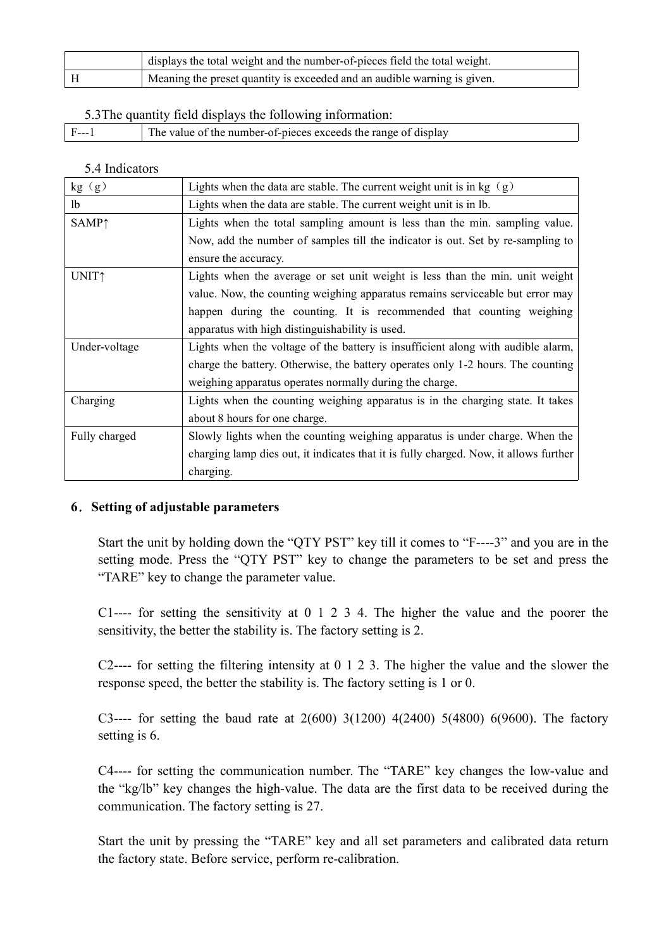|                | displays the total weight and the number-of-pieces field the total weight. |  |
|----------------|----------------------------------------------------------------------------|--|
| $\, {\rm H}$   | Meaning the preset quantity is exceeded and an audible warning is given.   |  |
|                | 5.3 The quantity field displays the following information:                 |  |
| $F--1$         | The value of the number-of-pieces exceeds the range of display             |  |
|                |                                                                            |  |
| 5.4 Indicators |                                                                            |  |
| kg(g)          | Lights when the data are stable. The current weight unit is in kg $(g)$    |  |
| 1 <sub>b</sub> | Lights when the data are stable. The current weight unit is in lb.         |  |

|                          | displays the total weight and the number-of-pieces field the total weight.                                              |
|--------------------------|-------------------------------------------------------------------------------------------------------------------------|
| H                        | Meaning the preset quantity is exceeded and an audible warning is given.                                                |
|                          |                                                                                                                         |
|                          | 5.3 The quantity field displays the following information:                                                              |
| $F--1$                   | The value of the number-of-pieces exceeds the range of display                                                          |
|                          |                                                                                                                         |
| 5.4 Indicators           |                                                                                                                         |
| kg(g)                    | Lights when the data are stable. The current weight unit is in kg $(g)$                                                 |
| lb                       | Lights when the data are stable. The current weight unit is in lb.                                                      |
| <b>SAMP</b> <sup>1</sup> | Lights when the total sampling amount is less than the min. sampling value.                                             |
|                          | Now, add the number of samples till the indicator is out. Set by re-sampling to                                         |
|                          | ensure the accuracy.                                                                                                    |
| <b>UNIT</b> <sup>1</sup> | Lights when the average or set unit weight is less than the min. unit weight                                            |
|                          | value. Now, the counting weighing apparatus remains serviceable but error may                                           |
|                          | happen during the counting. It is recommended that counting weighing<br>apparatus with high distinguishability is used. |
| Under-voltage            | Lights when the voltage of the battery is insufficient along with audible alarm,                                        |
|                          | charge the battery. Otherwise, the battery operates only 1-2 hours. The counting                                        |
|                          | weighing apparatus operates normally during the charge.                                                                 |
| Charging                 | Lights when the counting weighing apparatus is in the charging state. It takes                                          |
|                          | about 8 hours for one charge.                                                                                           |
| Fully charged            | Slowly lights when the counting weighing apparatus is under charge. When the                                            |
|                          | charging lamp dies out, it indicates that it is fully charged. Now, it allows further                                   |
|                          | charging.                                                                                                               |
|                          |                                                                                                                         |
|                          | 6. Setting of adjustable parameters                                                                                     |
|                          | Start the unit by holding down the "QTY PST" key till it comes to "F----3" and you are in the                           |
|                          | setting mode. Press the "QTY PST" key to change the parameters to be set and press the                                  |
|                          | "TARE" key to change the parameter value.                                                                               |
|                          |                                                                                                                         |
|                          | C1---- for setting the sensitivity at $0 \t1 \t2 \t3 \t4$ . The higher the value and the poorer the                     |
|                          | sensitivity, the better the stability is. The factory setting is 2.                                                     |
|                          |                                                                                                                         |
|                          | C2---- for setting the filtering intensity at $0 \ 1 \ 2 \ 3$ . The higher the value and the slower the                 |
|                          | response speed, the better the stability is. The factory setting is 1 or 0.                                             |
|                          |                                                                                                                         |
| setting is 6.            | C3---- for setting the baud rate at $2(600)$ 3(1200) 4(2400) 5(4800) 6(9600). The factory                               |
|                          |                                                                                                                         |
|                          | C4---- for setting the communication number. The "TARE" key changes the low-value and                                   |
|                          | the "kg/lb" key changes the high-value. The data are the first data to be received during the                           |

**EXECT THE CHATE THE CONDETE CONDETE:** Start the unit by holding down the "QTY PST" key to change the parameters to be set and press the "TARE" key to change the parameter value.<br>
C1---- for setting the sensitivity at 0 1 etting of adjustable parameters<br>
Start the unit by holding down the "QTY PST" key till it comes to "F—-3" and you are in the<br>
setting mode. Press the "QTY PST" key to change the parameters to be sett and press the<br>
"TARE" Start the unit by holding down the "QTY PST" key till it comes to "F----3" and you are in the setting mode. Press the "QTY PST" key to change the parameters to be set and press the "TARE" key to change the parameter value setting mode. Press the "QTY PST" key to change the parameters to be set and press the "TARE" key to change the parameter value.<br>C1---- for setting the sensitivity at 0 1 2 3 4. The higher the value and the poorer the sens "TARE" key to change the parameter value.<br>C1---- for setting the sensitivity at 0 1 2 3 4. The higher the value and the poorer the sensitivity, the better the stability is. The factory setting is 2.<br>C2---- for setting the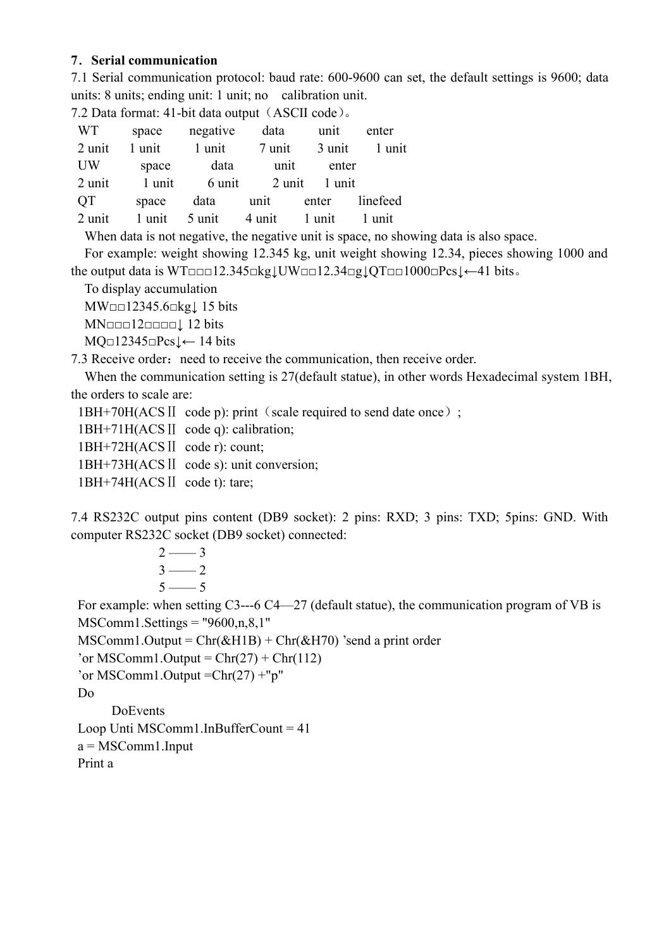7. Serial communication<br>
7.1 Serial communication protocol: baud rate: 600-9600 can set, the default s<br>
units: 8 units; ending unit: 1 unit; no calibration unit.<br>
7.2 Data format: 41-bit data output (ASCII code).<br>
WT space 7. Serial communication<br>
7.1 Serial communication protocol: baud rate: 600-9600 can set, the default settings is 9600; data<br>
units: 8 units; ending unit: 1 unit; no calibration unit.<br>
7.2 Data format: 41-bit data output ( 7. Serial communication<br>
7.1 Serial communication protocol: baud rate: 600-9600 can set, the default settings is 9600; data<br>
units: 8 units; ending unit: 1 unit; no calibration unit.<br>
7.2 Data format: 41-bit data output (A

|           | <b>7. Serial communication</b>                                                                                                                                                     |          |        |        |          |  |  |
|-----------|------------------------------------------------------------------------------------------------------------------------------------------------------------------------------------|----------|--------|--------|----------|--|--|
|           | 7.1 Serial communication protocol: baud rate: 600-9600 can set, the default settings is 9600; data                                                                                 |          |        |        |          |  |  |
|           | units: 8 units; ending unit: 1 unit; no calibration unit.                                                                                                                          |          |        |        |          |  |  |
|           | 7.2 Data format: 41-bit data output (ASCII code).                                                                                                                                  |          |        |        |          |  |  |
| <b>WT</b> | space                                                                                                                                                                              | negative | data   | unit   | enter    |  |  |
| 2 unit    | 1 unit                                                                                                                                                                             | 1 unit   | 7 unit | 3 unit | 1 unit   |  |  |
| UW        | space                                                                                                                                                                              | data     | unit   | enter  |          |  |  |
| 2 unit    | 1 unit                                                                                                                                                                             | 6 unit   | 2 unit | 1 unit |          |  |  |
| QT        | space                                                                                                                                                                              | data     | unit   | enter  | linefeed |  |  |
| 2 unit    | 1 unit                                                                                                                                                                             | 5 unit   | 4 unit | 1 unit | 1 unit   |  |  |
|           | When data is not negative, the negative unit is space, no showing data is also space.                                                                                              |          |        |        |          |  |  |
|           | For example: weight showing 12.345 kg, unit weight showing 12.34, pieces showing 1000 and                                                                                          |          |        |        |          |  |  |
|           | the output data is WT $\Box$ $\Box$ 12.345 $\Box$ kg $\downarrow$ UW $\Box$ $\Box$ 12.34 $\Box$ g $\downarrow$ QT $\Box$ $\Box$ 1000 $\Box$ Pcs $\downarrow$ $\leftarrow$ 41 bits. |          |        |        |          |  |  |
|           | To display accumulation                                                                                                                                                            |          |        |        |          |  |  |
|           | MW□□12345.6□kg↓15 bits                                                                                                                                                             |          |        |        |          |  |  |
|           |                                                                                                                                                                                    |          |        |        |          |  |  |
|           | $MQ \Box 12345 \Box Pcs \downarrow \leftarrow 14 \text{ bits}$                                                                                                                     |          |        |        |          |  |  |
|           | 7.3 Receive order: need to receive the communication, then receive order.                                                                                                          |          |        |        |          |  |  |
|           | When the communication setting is 27 (default statue), in other words Hexadecimal system 1BH,                                                                                      |          |        |        |          |  |  |
|           | the orders to scale are:                                                                                                                                                           |          |        |        |          |  |  |
|           | 1BH+70H(ACS II code p): print (scale required to send date once);                                                                                                                  |          |        |        |          |  |  |
|           | 1BH+71H(ACS II code q): calibration;                                                                                                                                               |          |        |        |          |  |  |
|           | 1BH+72H(ACS II code r): count;                                                                                                                                                     |          |        |        |          |  |  |
|           | 1BH+73H(ACS II code s): unit conversion;                                                                                                                                           |          |        |        |          |  |  |
|           |                                                                                                                                                                                    |          |        |        |          |  |  |
|           | 1BH+74H(ACS II code t): tare;<br>7.4 RS232C output pins content (DB9 socket): 2 pins: RXD; 3 pins: TXD; 5pins: GND. With                                                           |          |        |        |          |  |  |

QT space data unit enter linefeed<br>
2 unit 1 unit 5 unit 4 unit 1 unit 1 unit 1 unit<br>
When data is not negative; the negative unit is space, no showing data is also space.<br>
When data is OVIEquel 2.345 kg, unit weight showi When data is not negative, the negative unit is space, no showing data is also space.<br>
For example: weight showing 12.345 kg, unit weight showing 12.34, pieces showing 1000 and<br>
the output data is WTereu12.345ckgLUW $\text{CD1$ 

For example: weight showing 12.345 kg, unit weight showing 12.34, pieces showing 1000 and<br>the output data is WTcom 12.345chg UWp=12.34cg UTp=1000pPcs  $t$  -41 bits.<br>To display accumulation<br>MWp=12345.folight 15 bits<br>MNp=123 2 —— 3 commulation<br>  $.6 \Box kgl$  15 bits<br>  $\Box \Box c \Box k \Box t$  12 bits<br>
Free, 1ed to receive the communication, then receive order.<br>
Free meat to receive the communication, then receive order.<br>
Le are:<br>
SII code p): print (scale required 5 —— 5 MNcoc 12coroca 1 2 bits<br>  $\text{M}_\text{Q}=12345\text{eV}$  and to receive the communication, then receive order.<br>
3 Receive orders need to receive the communication, then receive order.<br>
When the communication setting is 27(default MQn12345nPes<sub>1</sub> $\leftarrow$  14 bits<br>
3. Receive order: need to receive the communication, then receive order.<br>
When the communication setting is 27(default statue), in other words Hexadecimal system<br>
1.9 then the communication s 3 Receive order: need to receive the communication, then receive order.<br>
When the communication setting is 27(default statue), in other words Hexadecimal system 1BH,<br>
to coder accompaction setting is 27(default statue), i When the communication setting is 27(default statue), in other words Hexadecimal system 1BH,<br>
ere orders to scale are:<br>
1BH+70H(ACS II code p): print (scale required to send date once);<br>
1BH+71H(ACS II code q): calibratio the orders to scale are:<br>
1BH+70H(ACS II code p): print (scale required to send date once) ;<br>
1BH+71H(ACS II code p): calibration;<br>
1BH+72H(ACS II code t): caunt;<br>
1BH+73H(ACS II code t): tare;<br>
1BH+74H(ACS II code t): ta Do DoEvents 1BH+72H(ACS |I code r): count;<br>
1BH+73H(ACS |I code s): unit conversion;<br>
1BH+74H(ACS |I code t): tare;<br>
4 RS232C coutput pins content (DB9 socket): 2 pins: RXD; 3 pins: TXD; 5pins: GND. With<br>
omputer RS23C cocket(1DB9 so 1BH+73H(ACS II code s): unit conversion;<br>
1BH+74H(ACS II code t): tare;<br>
.4 RS232C output pins content (DB9 socket): 2 pins: RXD; 3 pins:<br>
omputer RS232C socket (DB9 socket) connected:<br>  $2 \longrightarrow 3$ <br>  $3 \longrightarrow 2$ <br>  $5 \longrightarrow 5$ <br>
For exam 1BH+74H(ACS II code t): tare;<br>
.4 RS232C output pins content (DB9 socket): 2 pins: RXD; 3 pins: T<br>
omputer RS232C socket (DB9 socket) connected:<br>  $2 \frac{2}{3}$ <br>  $3 \frac{3}{3}$ <br>  $3 \frac{2}{3}$ <br>  $5 \frac{1}{3}$ <br>
For example: when setting C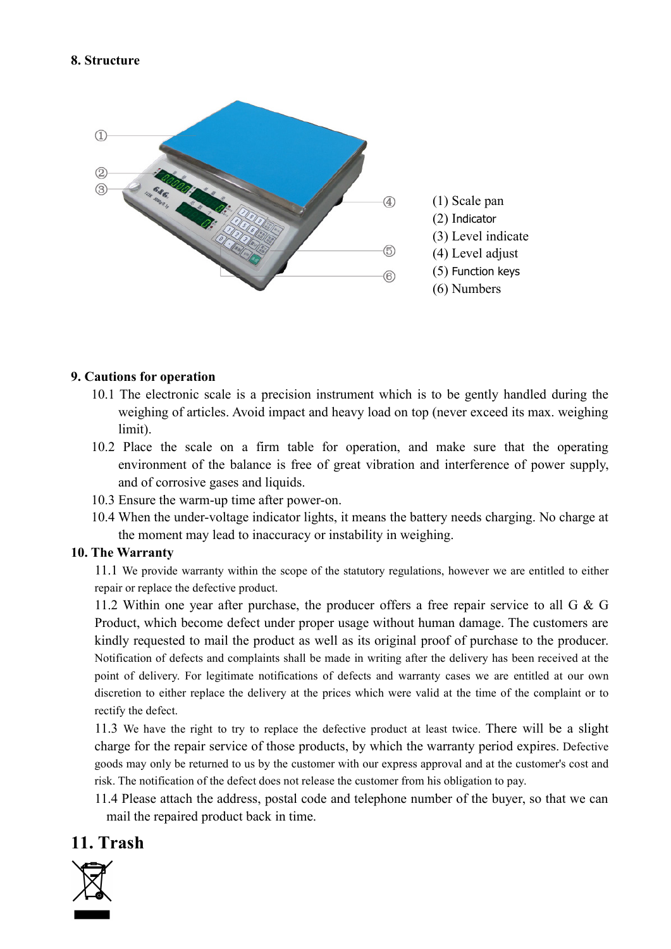

- limit).
- 11.1 We provide warranty within the scope of the statutory regulations of provides and the scope of the scale on a firm table for operation, and make sure that the operating limit).<br>
10.1 The electronic scale is a precisi
- 
- 

**autions for operation**<br>
10.1 The electronic scale is a precision instrument which is to be gently handled during the<br>
weighing of articles. Avoid impact and heavy load on top (never exceed its max. weighing<br>
1mit).<br>
10.2 **autions for operation**<br>
10.1 The electronic scale is a precision instrument which is to be gently handled during the weighing of articles. Avoid impact and heavy load on top (never exceed its max. weighing limit).<br>
10.2 P **autions for operation**<br>
0.1 The electronic scale is a precision instrument which is to be gently handled during the<br>
weighing of articles. Avoid impact and heavy load on top (never exceed its max. weighing<br>
10.2 Place th **autions for operation**<br>
10.1 The electronic scale is a precision instrument which is to be gently handled during the<br>
weighing of articles. Avoid impact and heavy load on top (never exceed its max. weighing<br>
10.2 Place t **autions for operation**<br>
0.0.1 The electronic scale is a precision instrument which is to be gently handled during the weighing of articles. Avoid impact and heavy load on top (never exceed its max. weighing limit).<br>
10.2 10.1 The electronic scale is a precision instrument which is to be gently handled during the weighing of articles. Avoid impact and heavy load on top (never exceed its max. weighing limit).<br>
10.2 Place the scale on a firm weighing of articles. Avoid impact and heavy load on top (never exceed its max. weighing<br>
limit).<br>
10.02 Place the seale on a firm table for operation, and make sure that the operating<br>
environment of the balance is free limit).<br>
10.2 Place the scale on a firm table for operation, and make sure the<br>
environment of the balance is free of great vibration and interference<br>
and of corrosive gases and liquids.<br>
10.3 Ensure the warm-up time afte 10.2 Place the scale on a firm table for operation, and make sure that the operating<br>
convironment of the balance is free of great vibration and interference of power supply,<br>
10.3 Finsure the warm-up time after power-on. environment of the balance is free of great vibration and interference of power supply,<br>
and of corrosive gases and liquids.<br>
10.3 Ensure the warra-up time after power-on.<br>
10.4 When the under-voltage indicator lights, it and of corrosive gases and liquids.<br>
10.3 Ensure the warm-up time after power-on.<br>
10.3 Ensure the warm-up time after power-on.<br>
10.4 When the under-voltage indicator lights, it means the battery needs charging. No charge 10.3 Ensure the warm-up time after power-on.<br>
10.4 When the under-voltage indicator lights, it means the battery needs charging. No charge at<br>
the moment may lead to inaccuracy or instability in weighing.<br>
The Warrrantty<br> 10.4 When the under-voltage indicator lights, it means the battery needs charging. No charge at<br>the moment may lead to inaccuracy or instability in weighing.<br>The Warrantty<br>11.1 We provide warranty within the scope of the s the moment may lead to inaccuracy or instability in weighing.<br> **e. Warranty** within the scope of the statutory regulations, however we are entitled to either all to provide varianty within the scope of the statutory regul 11. I We provide warranty<br>
11. I We provide warranty within the scope of the statutory regulations, how<br>
repair or replace the defective product.<br>
11.2 Within one year after purchase, the producer offers a free rep<br>
Produc